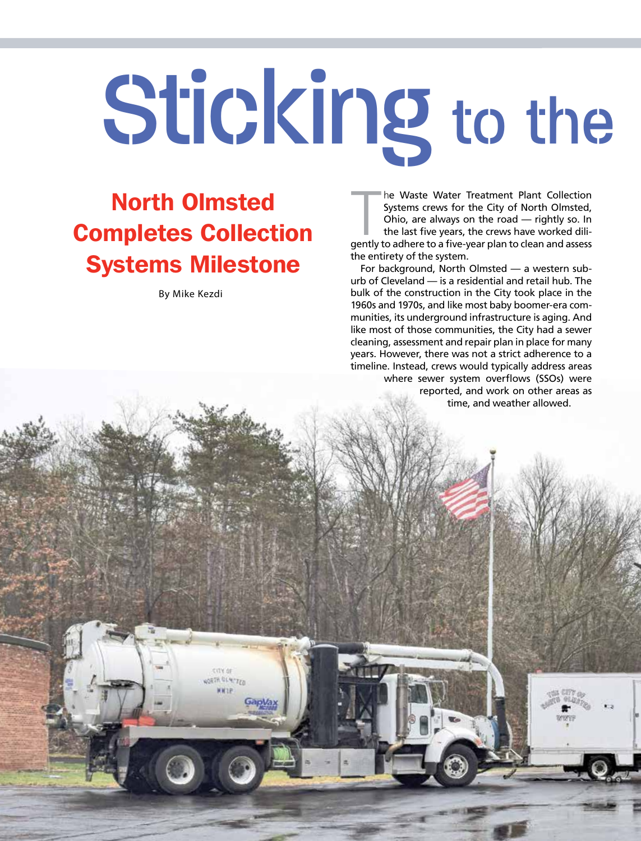# Sticking to the

## North Olmsted Completes Collection Systems Milestone

By Mike Kezdi

PIPE Cleaning PRO | pipecleaningpro.com

**JORTH GLAPTER** 

he Waste Water Treatment Plant Collection<br>Systems crews for the City of North Olmsted,<br>Ohio, are always on the road — rightly so. In<br>the last five years, the crews have worked dili-<br>gently to adhere to a five-year plan to he Waste Water Treatment Plant Collection Systems crews for the City of North Olmsted, Ohio, are always on the road — rightly so. In the last five years, the crews have worked dilithe entirety of the system.

For background, North Olmsted — a western suburb of Cleveland — is a residential and retail hub. The bulk of the construction in the City took place in the 1960s and 1970s, and like most baby boomer-era communities, its underground infrastructure is aging. And like most of those communities, the City had a sewer cleaning, assessment and repair plan in place for many years. However, there was not a strict adherence to a timeline. Instead, crews would typically address areas where sewer system overflows (SSOs) were reported, and work on other areas as time, and weather allowed.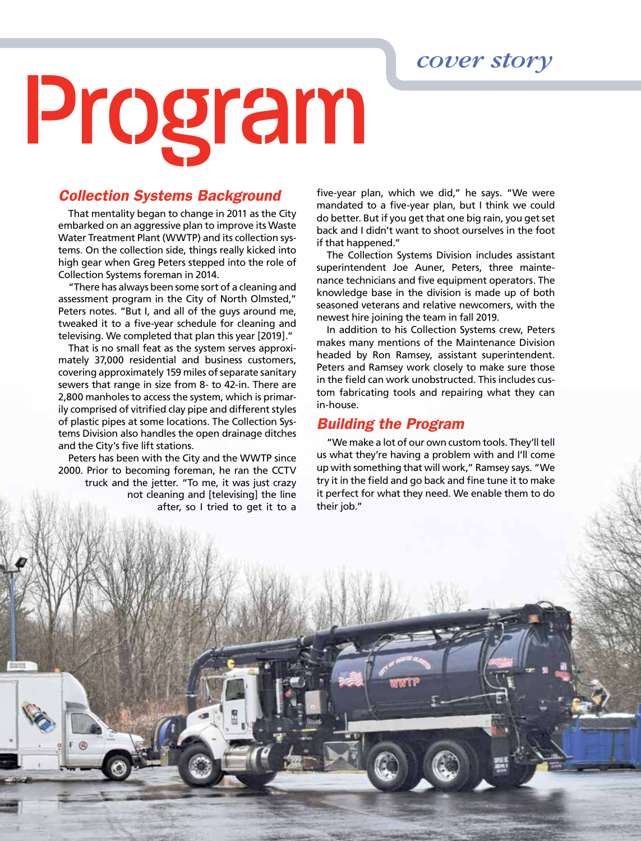*cover story*

## Program

### *Collection Systems Background*

That mentality began to change in 2011 as the City embarked on an aggressive plan to improve its Waste Water Treatment Plant (WWTP) and its collection systems. On the collection side, things really kicked into high gear when Greg Peters stepped into the role of Collection Systems foreman in 2014.

"There has always been some sort of a cleaning and assessment program in the City of North Olmsted," Peters notes. "But I, and all of the guys around me, tweaked it to a five-year schedule for cleaning and televising. We completed that plan this year [2019]."

That is no small feat as the system serves approximately 37,000 residential and business customers, covering approximately 159 miles of separate sanitary sewers that range in size from 8- to 42-in. There are 2,800 manholes to access the system, which is primarily comprised of vitrified clay pipe and different styles of plastic pipes at some locations. The Collection Systems Division also handles the open drainage ditches and the City's five lift stations.

Peters has been with the City and the WWTP since 2000. Prior to becoming foreman, he ran the CCTV truck and the jetter. "To me, it was just crazy not cleaning and [televising] the line after, so I tried to get it to a

 $\mathcal{G}$ 

five-year plan, which we did," he says. "We were mandated to a five-year plan, but I think we could do better. But if you get that one big rain, you get set back and I didn't want to shoot ourselves in the foot if that happened."

The Collection Systems Division includes assistant superintendent Joe Auner, Peters, three maintenance technicians and five equipment operators. The knowledge base in the division is made up of both seasoned veterans and relative newcomers, with the newest hire joining the team in fall 2019.

In addition to his Collection Systems crew, Peters makes many mentions of the Maintenance Division headed by Ron Ramsey, assistant superintendent. Peters and Ramsey work closely to make sure those in the field can work unobstructed. This includes custom fabricating tools and repairing what they can in-house.

#### *Building the Program*

"We make a lot of our own custom tools. They'll tell us what they're having a problem with and I'll come up with something that will work," Ramsey says. "We try it in the field and go back and fine tune it to make it perfect for what they need. We enable them to do their job."

January/February 2020 | PIPE <sup>C</sup>leaning PRO **17**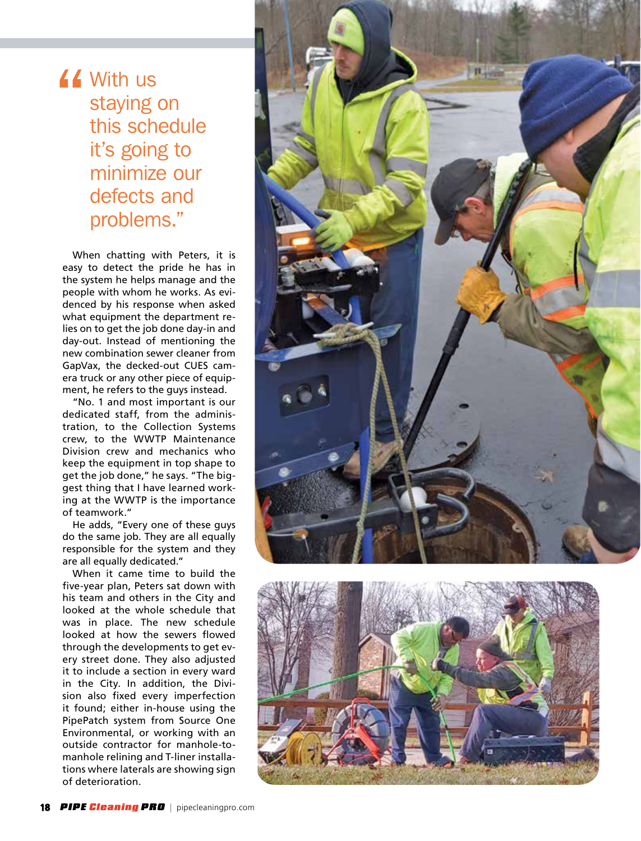### If With us<br>staying of<br>this sche staying on this schedule it's going to minimize our defects and problems."

When chatting with Peters, it is easy to detect the pride he has in the system he helps manage and the people with whom he works. As evidenced by his response when asked what equipment the department relies on to get the job done day-in and day-out. Instead of mentioning the new combination sewer cleaner from GapVax, the decked-out CUES camera truck or any other piece of equipment, he refers to the guys instead.

"No. 1 and most important is our dedicated staff, from the administration, to the Collection Systems crew, to the WWTP Maintenance Division crew and mechanics who keep the equipment in top shape to get the job done," he says. "The biggest thing that I have learned working at the WWTP is the importance of teamwork."

He adds, "Every one of these guys do the same job. They are all equally responsible for the system and they are all equally dedicated."

When it came time to build the five-year plan, Peters sat down with his team and others in the City and looked at the whole schedule that was in place. The new schedule looked at how the sewers flowed through the developments to get every street done. They also adjusted it to include a section in every ward in the City. In addition, the Division also fixed every imperfection it found; either in-house using the PipePatch system from Source One Environmental, or working with an outside contractor for manhole-tomanhole relining and T-liner installations where laterals are showing sign of deterioration.